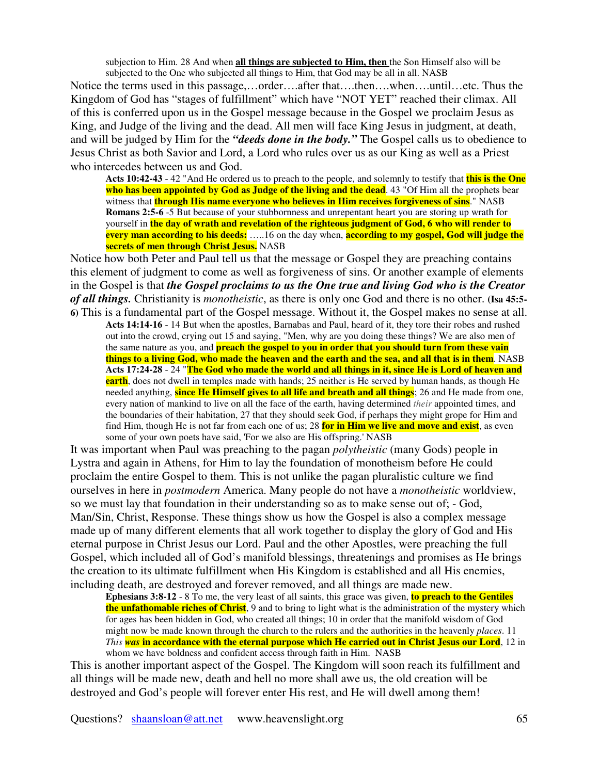subjection to Him. 28 And when **all things are subjected to Him, then** the Son Himself also will be subjected to the One who subjected all things to Him, that God may be all in all. NASB

Notice the terms used in this passage,…order….after that….then….when….until…etc. Thus the Kingdom of God has "stages of fulfillment" which have "NOT YET" reached their climax. All of this is conferred upon us in the Gospel message because in the Gospel we proclaim Jesus as King, and Judge of the living and the dead. All men will face King Jesus in judgment, at death, and will be judged by Him for the *"deeds done in the body."* The Gospel calls us to obedience to Jesus Christ as both Savior and Lord, a Lord who rules over us as our King as well as a Priest who intercedes between us and God.

**Acts 10:42-43** - 42 "And He ordered us to preach to the people, and solemnly to testify that **this is the One who has been appointed by God as Judge of the living and the dead**. 43 "Of Him all the prophets bear witness that **through His name everyone who believes in Him receives forgiveness of sins**." NASB **Romans 2:5-6** -5 But because of your stubbornness and unrepentant heart you are storing up wrath for yourself in **the day of wrath and revelation of the righteous judgment of God, 6 who will render to every man according to his deeds:** …..16 on the day when, **according to my gospel, God will judge the secrets of men through Christ Jesus.** NASB

Notice how both Peter and Paul tell us that the message or Gospel they are preaching contains this element of judgment to come as well as forgiveness of sins. Or another example of elements in the Gospel is that *the Gospel proclaims to us the One true and living God who is the Creator of all things.* Christianity is *monotheistic*, as there is only one God and there is no other. **(Isa 45:5- 6)** This is a fundamental part of the Gospel message. Without it, the Gospel makes no sense at all.

**Acts 14:14-16** - 14 But when the apostles, Barnabas and Paul, heard of it, they tore their robes and rushed out into the crowd, crying out 15 and saying, "Men, why are you doing these things? We are also men of the same nature as you, and **preach the gospel to you in order that you should turn from these vain** things to a living God, who made the heaven and the earth and the sea, and all that is in them. NASB Acts 17:24-28 - 24 "The God who made the world and all things in it, since He is Lord of heaven and **earth**, does not dwell in temples made with hands; 25 neither is He served by human hands, as though He needed anything, **since He Himself gives to all life and breath and all things**; 26 and He made from one, every nation of mankind to live on all the face of the earth, having determined *their* appointed times, and the boundaries of their habitation, 27 that they should seek God, if perhaps they might grope for Him and find Him, though He is not far from each one of us; 28 **for in Him we live and move and exist**, as even some of your own poets have said, 'For we also are His offspring.' NASB

It was important when Paul was preaching to the pagan *polytheistic* (many Gods) people in Lystra and again in Athens, for Him to lay the foundation of monotheism before He could proclaim the entire Gospel to them. This is not unlike the pagan pluralistic culture we find ourselves in here in *postmodern* America. Many people do not have a *monotheistic* worldview, so we must lay that foundation in their understanding so as to make sense out of; - God, Man/Sin, Christ, Response. These things show us how the Gospel is also a complex message made up of many different elements that all work together to display the glory of God and His eternal purpose in Christ Jesus our Lord. Paul and the other Apostles, were preaching the full Gospel, which included all of God's manifold blessings, threatenings and promises as He brings the creation to its ultimate fulfillment when His Kingdom is established and all His enemies, including death, are destroyed and forever removed, and all things are made new.

**Ephesians 3:8-12** - 8 To me, the very least of all saints, this grace was given, **to preach to the Gentiles the unfathomable riches of Christ**, 9 and to bring to light what is the administration of the mystery which for ages has been hidden in God, who created all things; 10 in order that the manifold wisdom of God might now be made known through the church to the rulers and the authorities in the heavenly *places*. 11 *This was* **in accordance with the eternal purpose which He carried out in Christ Jesus our Lord**, 12 in whom we have boldness and confident access through faith in Him. NASB

This is another important aspect of the Gospel. The Kingdom will soon reach its fulfillment and all things will be made new, death and hell no more shall awe us, the old creation will be destroyed and God's people will forever enter His rest, and He will dwell among them!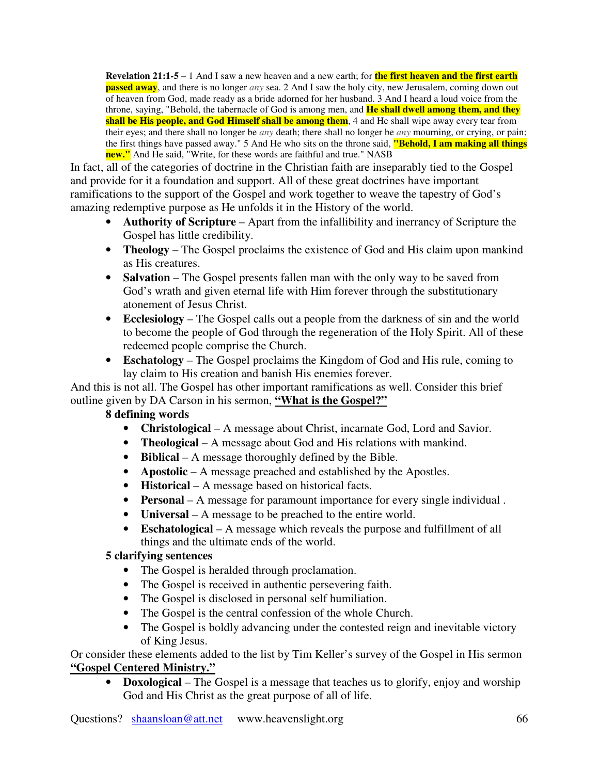**Revelation 21:1-5** – 1 And I saw a new heaven and a new earth; for **the first heaven and the first earth passed away**, and there is no longer *any* sea. 2 And I saw the holy city, new Jerusalem, coming down out of heaven from God, made ready as a bride adorned for her husband. 3 And I heard a loud voice from the throne, saying, "Behold, the tabernacle of God is among men, and **He shall dwell among them, and they shall be His people, and God Himself shall be among them**, 4 and He shall wipe away every tear from their eyes; and there shall no longer be *any* death; there shall no longer be *any* mourning, or crying, or pain; the first things have passed away." 5 And He who sits on the throne said, **"Behold, I am making all things new."** And He said, "Write, for these words are faithful and true." NASB

In fact, all of the categories of doctrine in the Christian faith are inseparably tied to the Gospel and provide for it a foundation and support. All of these great doctrines have important ramifications to the support of the Gospel and work together to weave the tapestry of God's amazing redemptive purpose as He unfolds it in the History of the world.

- **Authority of Scripture** Apart from the infallibility and inerrancy of Scripture the Gospel has little credibility.
- **Theology** The Gospel proclaims the existence of God and His claim upon mankind as His creatures.
- **Salvation** The Gospel presents fallen man with the only way to be saved from God's wrath and given eternal life with Him forever through the substitutionary atonement of Jesus Christ.
- **Ecclesiology** The Gospel calls out a people from the darkness of sin and the world to become the people of God through the regeneration of the Holy Spirit. All of these redeemed people comprise the Church.
- **Eschatology** The Gospel proclaims the Kingdom of God and His rule, coming to lay claim to His creation and banish His enemies forever.

And this is not all. The Gospel has other important ramifications as well. Consider this brief outline given by DA Carson in his sermon, **"What is the Gospel?"**

## **8 defining words**

- **Christological** A message about Christ, incarnate God, Lord and Savior.
- **Theological** A message about God and His relations with mankind.
- **Biblical** A message thoroughly defined by the Bible.
- **Apostolic** A message preached and established by the Apostles.
- **Historical** A message based on historical facts.
- **Personal** A message for paramount importance for every single individual .
- **Universal** A message to be preached to the entire world.
- **Eschatological** A message which reveals the purpose and fulfillment of all things and the ultimate ends of the world.

## **5 clarifying sentences**

- The Gospel is heralded through proclamation.
- The Gospel is received in authentic persevering faith.
- The Gospel is disclosed in personal self humiliation.
- The Gospel is the central confession of the whole Church.
- The Gospel is boldly advancing under the contested reign and inevitable victory of King Jesus.

Or consider these elements added to the list by Tim Keller's survey of the Gospel in His sermon **"Gospel Centered Ministry."**

• **Doxological** – The Gospel is a message that teaches us to glorify, enjoy and worship God and His Christ as the great purpose of all of life.